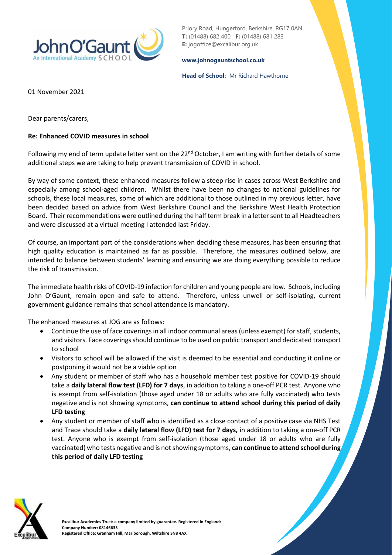

Priory Road, Hungerford, Berkshire, RG17 0AN **T:** (01488) 682 400 **F:** (01488) 681 283 **E:** jogoffice@excalibur.org.uk

## **[www.johnogauntschool.co.uk](http://www.johnogauntschool.co.uk/)**

## **Head of School:** Mr Richard Hawthorne

01 November 2021

Dear parents/carers,

## **Re: Enhanced COVID measures in school**

Following my end of term update letter sent on the  $22^{nd}$  October, I am writing with further details of some additional steps we are taking to help prevent transmission of COVID in school.

By way of some context, these enhanced measures follow a steep rise in cases across West Berkshire and especially among school-aged children. Whilst there have been no changes to national guidelines for schools, these local measures, some of which are additional to those outlined in my previous letter, have been decided based on advice from West Berkshire Council and the Berkshire West Health Protection Board. Their recommendations were outlined during the half term break in a letter sent to all Headteachers and were discussed at a virtual meeting I attended last Friday.

Of course, an important part of the considerations when deciding these measures, has been ensuring that high quality education is maintained as far as possible. Therefore, the measures outlined below, are intended to balance between students' learning and ensuring we are doing everything possible to reduce the risk of transmission.

The immediate health risks of COVID-19 infection for children and young people are low. Schools, including John O'Gaunt, remain open and safe to attend. Therefore, unless unwell or self-isolating, current government guidance remains that school attendance is mandatory.

The enhanced measures at JOG are as follows:

- Continue the use of face coverings in all indoor communal areas (unless exempt) for staff, students, and visitors. Face coverings should continue to be used on public transport and dedicated transport to school
- Visitors to school will be allowed if the visit is deemed to be essential and conducting it online or postponing it would not be a viable option
- Any student or member of staff who has a household member test positive for COVID-19 should take a **daily lateral flow test (LFD) for 7 days**, in addition to taking a one-off PCR test. Anyone who is exempt from self-isolation (those aged under 18 or adults who are fully vaccinated) who tests negative and is not showing symptoms, **can continue to attend school during this period of daily LFD testing**
- Any student or member of staff who is identified as a close contact of a positive case via NHS Test and Trace should take a **daily lateral flow (LFD) test for 7 days,** in addition to taking a one-off PCR test. Anyone who is exempt from self-isolation (those aged under 18 or adults who are fully vaccinated) who tests negative and is not showing symptoms, **can continue to attend school during this period of daily LFD testing**